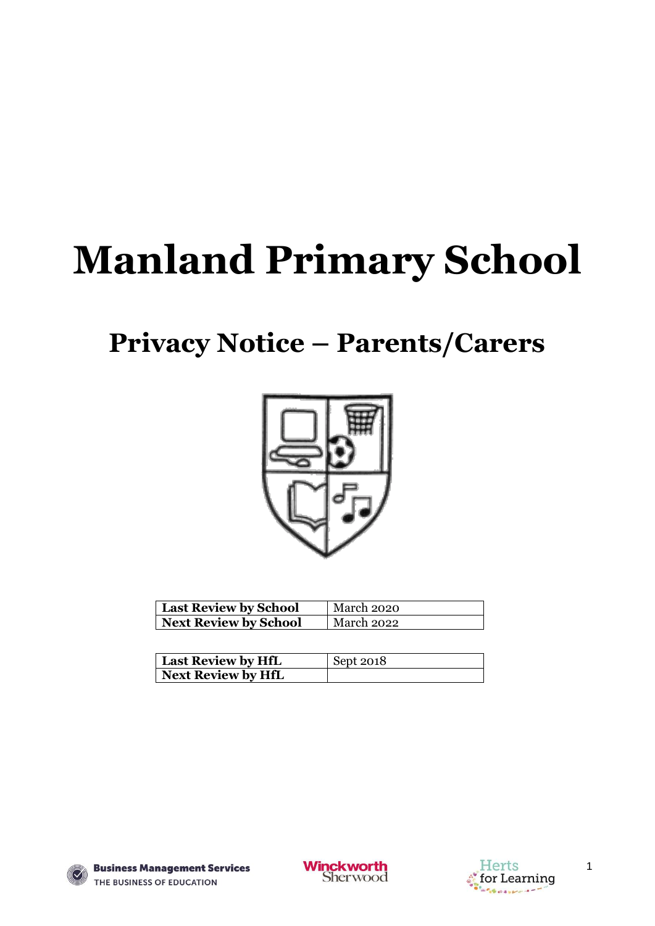# **Manland Primary School**

# **Privacy Notice – Parents/Carers**



| <b>Last Review by School</b> | March 2020 |
|------------------------------|------------|
| <b>Next Review by School</b> | March 2022 |

| Last Review by HfL | Sept 2018 |
|--------------------|-----------|
| Next Review by HfL |           |







1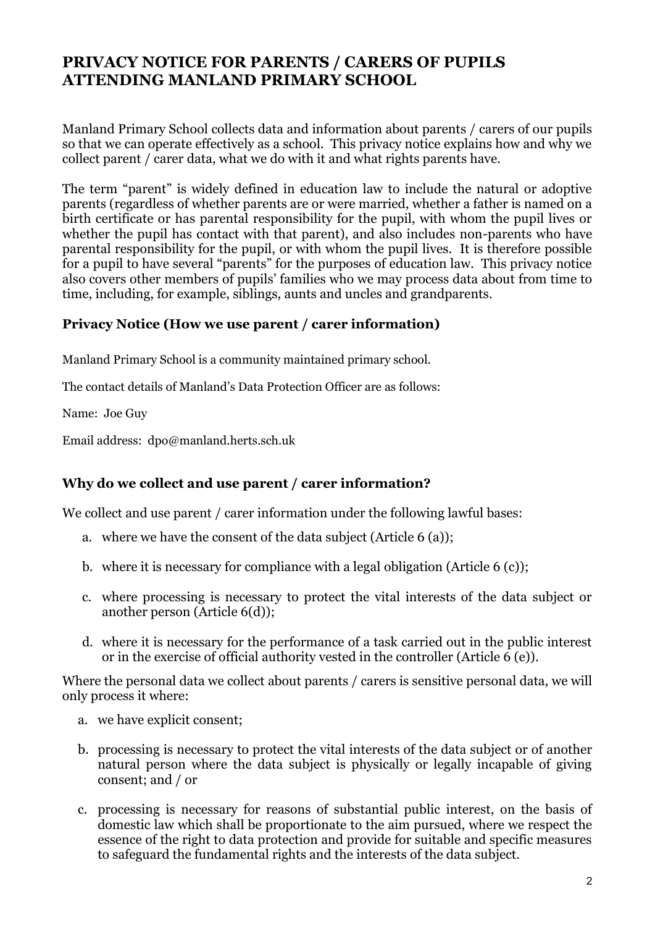# **PRIVACY NOTICE FOR PARENTS / CARERS OF PUPILS ATTENDING MANLAND PRIMARY SCHOOL**

Manland Primary School collects data and information about parents / carers of our pupils so that we can operate effectively as a school. This privacy notice explains how and why we collect parent / carer data, what we do with it and what rights parents have.

The term "parent" is widely defined in education law to include the natural or adoptive parents (regardless of whether parents are or were married, whether a father is named on a birth certificate or has parental responsibility for the pupil, with whom the pupil lives or whether the pupil has contact with that parent), and also includes non-parents who have parental responsibility for the pupil, or with whom the pupil lives. It is therefore possible for a pupil to have several "parents" for the purposes of education law. This privacy notice also covers other members of pupils' families who we may process data about from time to time, including, for example, siblings, aunts and uncles and grandparents.

#### **Privacy Notice (How we use parent / carer information)**

Manland Primary School is a community maintained primary school.

The contact details of Manland's Data Protection Officer are as follows:

Name: Joe Guy

Email address: dpo@manland.herts.sch.uk

#### **Why do we collect and use parent / carer information?**

We collect and use parent / carer information under the following lawful bases:

- a. where we have the consent of the data subject (Article 6 (a));
- b. where it is necessary for compliance with a legal obligation (Article 6 (c));
- c. where processing is necessary to protect the vital interests of the data subject or another person (Article 6(d));
- d. where it is necessary for the performance of a task carried out in the public interest or in the exercise of official authority vested in the controller (Article  $\vec{6}$  (e)).

Where the personal data we collect about parents / carers is sensitive personal data, we will only process it where:

- a. we have explicit consent;
- b. processing is necessary to protect the vital interests of the data subject or of another natural person where the data subject is physically or legally incapable of giving consent; and / or
- c. processing is necessary for reasons of substantial public interest, on the basis of domestic law which shall be proportionate to the aim pursued, where we respect the essence of the right to data protection and provide for suitable and specific measures to safeguard the fundamental rights and the interests of the data subject.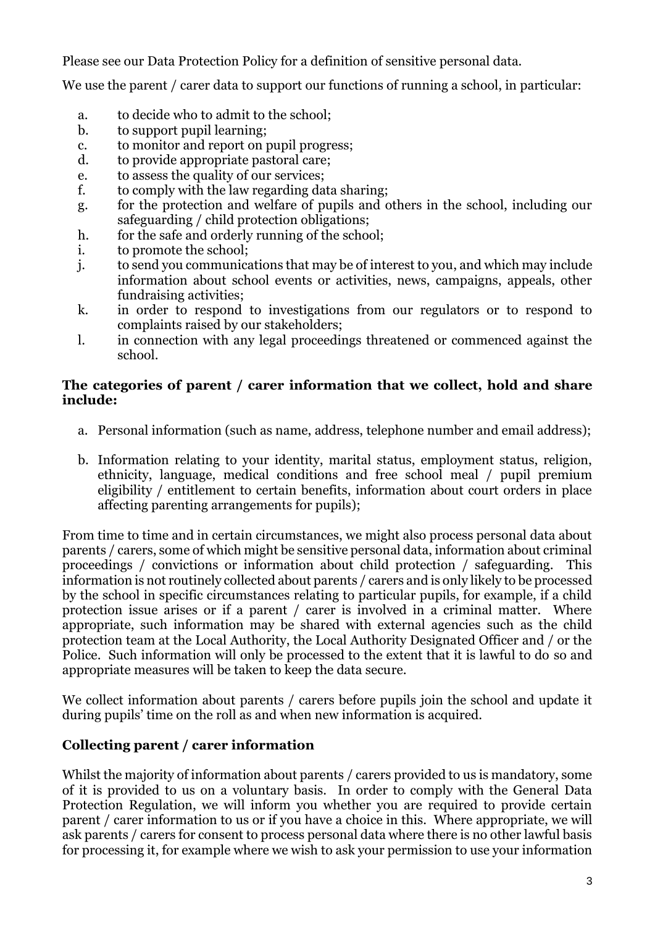Please see our Data Protection Policy for a definition of sensitive personal data.

We use the parent / carer data to support our functions of running a school, in particular:

- a. to decide who to admit to the school;
- b. to support pupil learning;
- c. to monitor and report on pupil progress;
- d. to provide appropriate pastoral care;
- e. to assess the quality of our services;
- f. to comply with the law regarding data sharing;
- g. for the protection and welfare of pupils and others in the school, including our safeguarding / child protection obligations;
- h. for the safe and orderly running of the school;
- i. to promote the school;
- j. to send you communications that may be of interest to you, and which may include information about school events or activities, news, campaigns, appeals, other fundraising activities;
- k. in order to respond to investigations from our regulators or to respond to complaints raised by our stakeholders;
- l. in connection with any legal proceedings threatened or commenced against the school.

#### **The categories of parent / carer information that we collect, hold and share include:**

- a. Personal information (such as name, address, telephone number and email address);
- b. Information relating to your identity, marital status, employment status, religion, ethnicity, language, medical conditions and free school meal / pupil premium eligibility / entitlement to certain benefits, information about court orders in place affecting parenting arrangements for pupils);

From time to time and in certain circumstances, we might also process personal data about parents / carers, some of which might be sensitive personal data, information about criminal proceedings / convictions or information about child protection / safeguarding. This information is not routinely collected about parents / carers and is only likely to be processed by the school in specific circumstances relating to particular pupils, for example, if a child protection issue arises or if a parent / carer is involved in a criminal matter. Where appropriate, such information may be shared with external agencies such as the child protection team at the Local Authority, the Local Authority Designated Officer and / or the Police. Such information will only be processed to the extent that it is lawful to do so and appropriate measures will be taken to keep the data secure.

We collect information about parents / carers before pupils join the school and update it during pupils' time on the roll as and when new information is acquired.

# **Collecting parent / carer information**

Whilst the majority of information about parents / carers provided to us is mandatory, some of it is provided to us on a voluntary basis. In order to comply with the General Data Protection Regulation, we will inform you whether you are required to provide certain parent / carer information to us or if you have a choice in this. Where appropriate, we will ask parents / carers for consent to process personal data where there is no other lawful basis for processing it, for example where we wish to ask your permission to use your information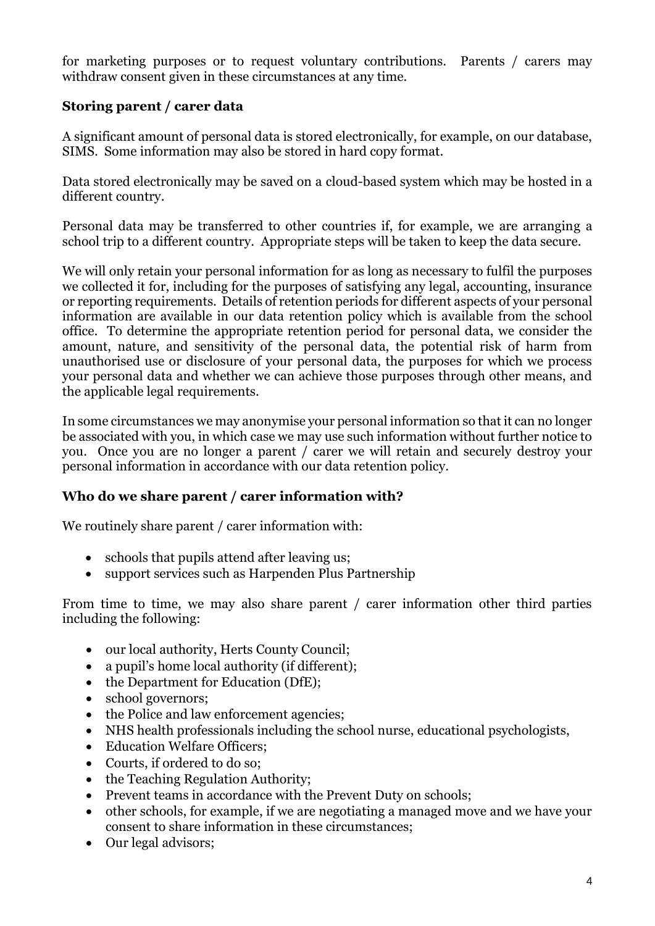for marketing purposes or to request voluntary contributions. Parents / carers may withdraw consent given in these circumstances at any time.

# **Storing parent / carer data**

A significant amount of personal data is stored electronically, for example, on our database, SIMS. Some information may also be stored in hard copy format.

Data stored electronically may be saved on a cloud-based system which may be hosted in a different country.

Personal data may be transferred to other countries if, for example, we are arranging a school trip to a different country. Appropriate steps will be taken to keep the data secure.

We will only retain your personal information for as long as necessary to fulfil the purposes we collected it for, including for the purposes of satisfying any legal, accounting, insurance or reporting requirements. Details of retention periods for different aspects of your personal information are available in our data retention policy which is available from the school office. To determine the appropriate retention period for personal data, we consider the amount, nature, and sensitivity of the personal data, the potential risk of harm from unauthorised use or disclosure of your personal data, the purposes for which we process your personal data and whether we can achieve those purposes through other means, and the applicable legal requirements.

In some circumstances we may anonymise your personal information so that it can no longer be associated with you, in which case we may use such information without further notice to you. Once you are no longer a parent / carer we will retain and securely destroy your personal information in accordance with our data retention policy.

#### **Who do we share parent / carer information with?**

We routinely share parent / carer information with:

- schools that pupils attend after leaving us;
- support services such as Harpenden Plus Partnership

From time to time, we may also share parent / carer information other third parties including the following:

- our local authority, Herts County Council;
- a pupil's home local authority (if different);
- the Department for Education (DfE);
- school governors:
- the Police and law enforcement agencies;
- NHS health professionals including the school nurse, educational psychologists,
- Education Welfare Officers;
- Courts, if ordered to do so;
- the Teaching Regulation Authority;
- Prevent teams in accordance with the Prevent Duty on schools;
- other schools, for example, if we are negotiating a managed move and we have your consent to share information in these circumstances;
- Our legal advisors;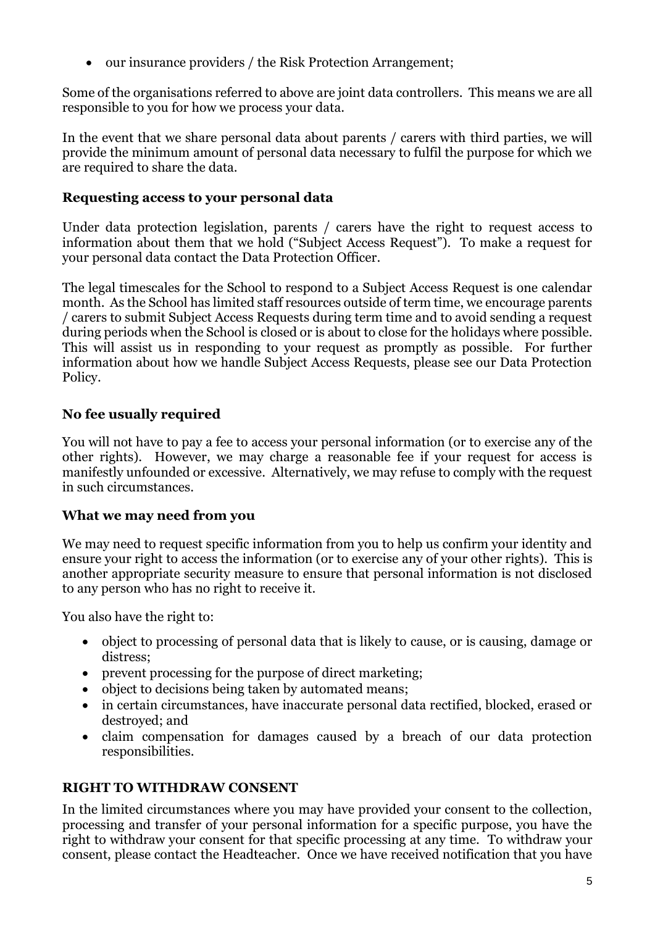• our insurance providers / the Risk Protection Arrangement;

Some of the organisations referred to above are joint data controllers. This means we are all responsible to you for how we process your data.

In the event that we share personal data about parents / carers with third parties, we will provide the minimum amount of personal data necessary to fulfil the purpose for which we are required to share the data.

#### **Requesting access to your personal data**

Under data protection legislation, parents / carers have the right to request access to information about them that we hold ("Subject Access Request"). To make a request for your personal data contact the Data Protection Officer.

The legal timescales for the School to respond to a Subject Access Request is one calendar month. As the School has limited staff resources outside of term time, we encourage parents / carers to submit Subject Access Requests during term time and to avoid sending a request during periods when the School is closed or is about to close for the holidays where possible. This will assist us in responding to your request as promptly as possible. For further information about how we handle Subject Access Requests, please see our Data Protection Policy.

# **No fee usually required**

You will not have to pay a fee to access your personal information (or to exercise any of the other rights). However, we may charge a reasonable fee if your request for access is manifestly unfounded or excessive. Alternatively, we may refuse to comply with the request in such circumstances.

# **What we may need from you**

We may need to request specific information from you to help us confirm your identity and ensure your right to access the information (or to exercise any of your other rights). This is another appropriate security measure to ensure that personal information is not disclosed to any person who has no right to receive it.

You also have the right to:

- object to processing of personal data that is likely to cause, or is causing, damage or distress;
- prevent processing for the purpose of direct marketing;
- object to decisions being taken by automated means;
- in certain circumstances, have inaccurate personal data rectified, blocked, erased or destroyed; and
- claim compensation for damages caused by a breach of our data protection responsibilities.

# **RIGHT TO WITHDRAW CONSENT**

In the limited circumstances where you may have provided your consent to the collection, processing and transfer of your personal information for a specific purpose, you have the right to withdraw your consent for that specific processing at any time. To withdraw your consent, please contact the Headteacher. Once we have received notification that you have